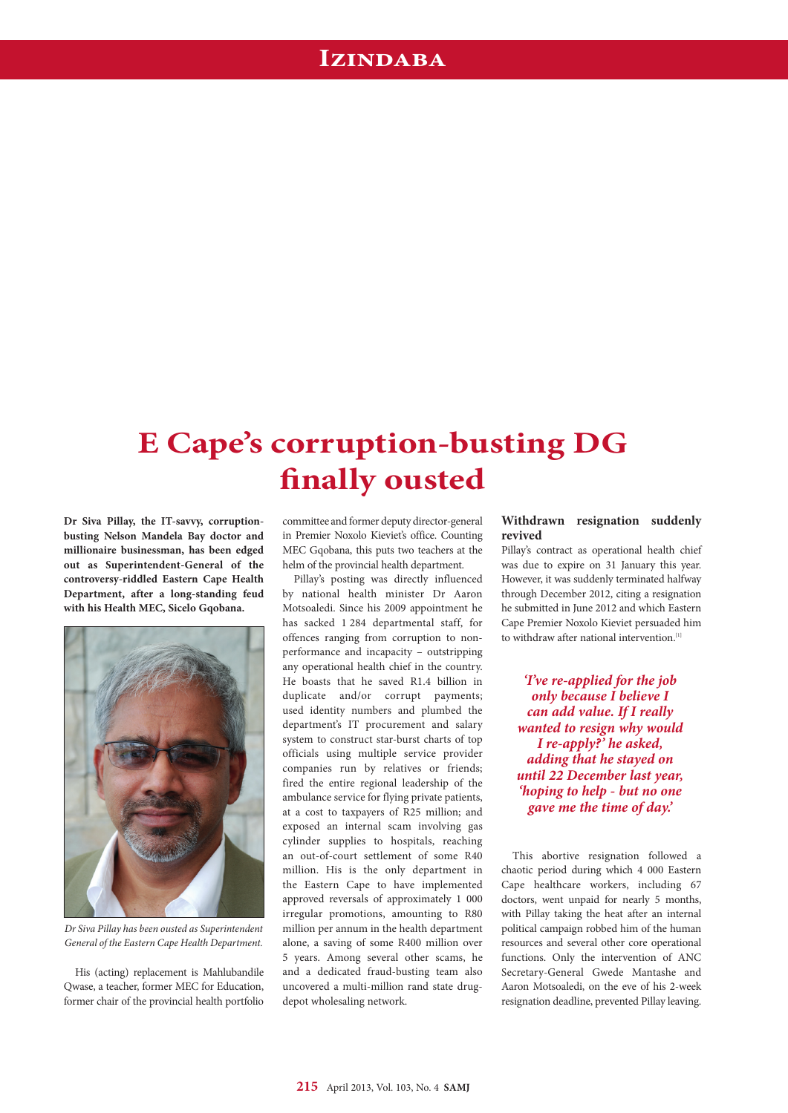## **Izindaba**

# **E Cape's corruption-busting DG finally ousted**

**Dr Siva Pillay, the IT-savvy, corruptionbusting Nelson Mandela Bay doctor and millionaire businessman, has been edged out as Superintendent-General of the controversy-riddled Eastern Cape Health Department, after a long-standing feud with his Health MEC, Sicelo Gqobana.**



*Dr Siva Pillay has been ousted as Superintendent General of the Eastern Cape Health Department.*

His (acting) replacement is Mahlubandile Qwase, a teacher, former MEC for Education, former chair of the provincial health portfolio committee and former deputy director-general in Premier Noxolo Kieviet's office. Counting MEC Gqobana, this puts two teachers at the helm of the provincial health department.

Pillay's posting was directly influenced by national health minister Dr Aaron Motsoaledi. Since his 2009 appointment he has sacked 1 284 departmental staff, for offences ranging from corruption to nonperformance and incapacity – outstripping any operational health chief in the country. He boasts that he saved R1.4 billion in duplicate and/or corrupt payments; used identity numbers and plumbed the department's IT procurement and salary system to construct star-burst charts of top officials using multiple service provider companies run by relatives or friends; fired the entire regional leadership of the ambulance service for flying private patients, at a cost to taxpayers of R25 million; and exposed an internal scam involving gas cylinder supplies to hospitals, reaching an out-of-court settlement of some R40 million. His is the only department in the Eastern Cape to have implemented approved reversals of approximately 1 000 irregular promotions, amounting to R80 million per annum in the health department alone, a saving of some R400 million over 5 years. Among several other scams, he and a dedicated fraud-busting team also uncovered a multi-million rand state drugdepot wholesaling network.

## **Withdrawn resignation suddenly revived**

Pillay's contract as operational health chief was due to expire on 31 January this year. However, it was suddenly terminated halfway through December 2012, citing a resignation he submitted in June 2012 and which Eastern Cape Premier Noxolo Kieviet persuaded him to withdraw after national intervention.<sup>[1]</sup>

*'I've re-applied for the job only because I believe I can add value. If I really wanted to resign why would I re-apply?' he asked, adding that he stayed on until 22 December last year, 'hoping to help - but no one gave me the time of day.'*

This abortive resignation followed a chaotic period during which 4 000 Eastern Cape healthcare workers, including 67 doctors, went unpaid for nearly 5 months, with Pillay taking the heat after an internal political campaign robbed him of the human resources and several other core operational functions. Only the intervention of ANC Secretary-General Gwede Mantashe and Aaron Motsoaledi, on the eve of his 2-week resignation deadline, prevented Pillay leaving.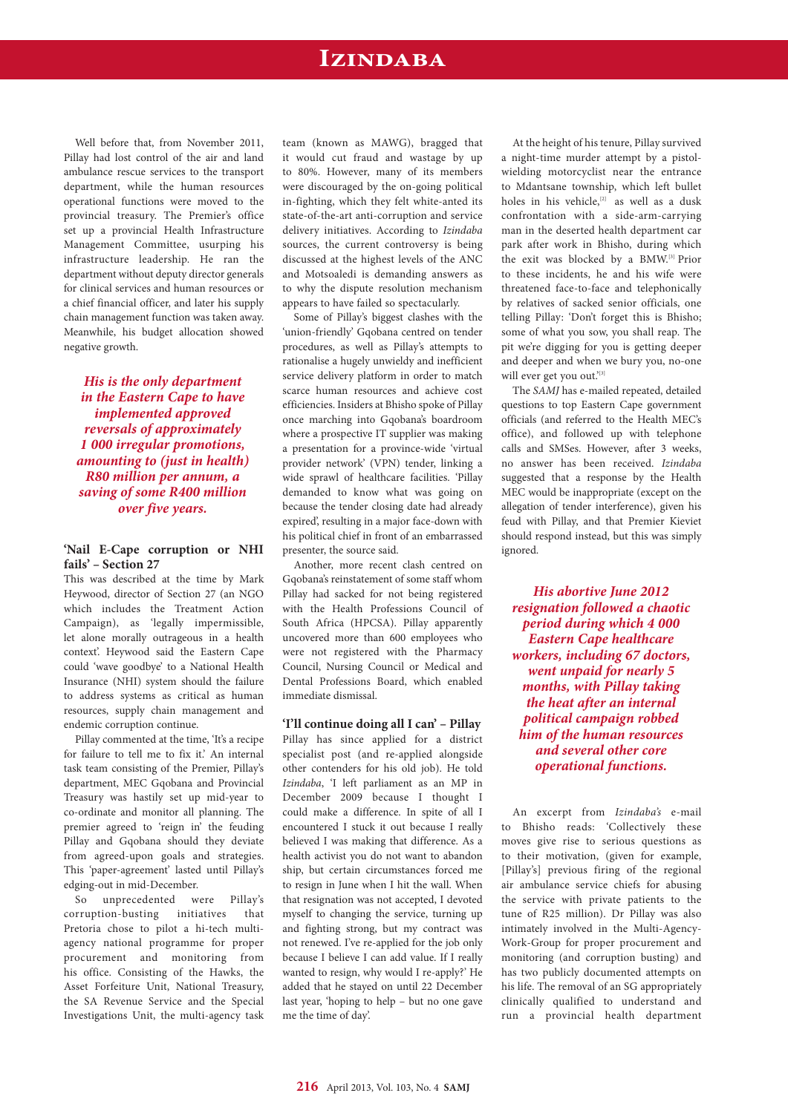## **Izindaba**

Well before that, from November 2011, Pillay had lost control of the air and land ambulance rescue services to the transport department, while the human resources operational functions were moved to the provincial treasury. The Premier's office set up a provincial Health Infrastructure Management Committee, usurping his infrastructure leadership. He ran the department without deputy director generals for clinical services and human resources or a chief financial officer, and later his supply chain management function was taken away. Meanwhile, his budget allocation showed negative growth.

*His is the only department in the Eastern Cape to have implemented approved reversals of approximately 1 000 irregular promotions, amounting to (just in health) R80 million per annum, a saving of some R400 million over five years.*

### **'Nail E-Cape corruption or NHI fails' – Section 27**

This was described at the time by Mark Heywood, director of Section 27 (an NGO which includes the Treatment Action Campaign), as 'legally impermissible, let alone morally outrageous in a health context'. Heywood said the Eastern Cape could 'wave goodbye' to a National Health Insurance (NHI) system should the failure to address systems as critical as human resources, supply chain management and endemic corruption continue.

Pillay commented at the time, 'It's a recipe for failure to tell me to fix it.' An internal task team consisting of the Premier, Pillay's department, MEC Gqobana and Provincial Treasury was hastily set up mid-year to co-ordinate and monitor all planning. The premier agreed to 'reign in' the feuding Pillay and Gqobana should they deviate from agreed-upon goals and strategies. This 'paper-agreement' lasted until Pillay's edging-out in mid-December.

So unprecedented were Pillay's corruption-busting initiatives that Pretoria chose to pilot a hi-tech multiagency national programme for proper procurement and monitoring from his office. Consisting of the Hawks, the Asset Forfeiture Unit, National Treasury, the SA Revenue Service and the Special Investigations Unit, the multi-agency task team (known as MAWG), bragged that it would cut fraud and wastage by up to 80%. However, many of its members were discouraged by the on-going political in-fighting, which they felt white-anted its state-of-the-art anti-corruption and service delivery initiatives. According to *Izindaba* sources, the current controversy is being discussed at the highest levels of the ANC and Motsoaledi is demanding answers as to why the dispute resolution mechanism appears to have failed so spectacularly.

Some of Pillay's biggest clashes with the 'union-friendly' Gqobana centred on tender procedures, as well as Pillay's attempts to rationalise a hugely unwieldy and inefficient service delivery platform in order to match scarce human resources and achieve cost efficiencies. Insiders at Bhisho spoke of Pillay once marching into Gqobana's boardroom where a prospective IT supplier was making a presentation for a province-wide 'virtual provider network' (VPN) tender, linking a wide sprawl of healthcare facilities. 'Pillay demanded to know what was going on because the tender closing date had already expired', resulting in a major face-down with his political chief in front of an embarrassed presenter, the source said.

Another, more recent clash centred on Gqobana's reinstatement of some staff whom Pillay had sacked for not being registered with the Health Professions Council of South Africa (HPCSA). Pillay apparently uncovered more than 600 employees who were not registered with the Pharmacy Council, Nursing Council or Medical and Dental Professions Board, which enabled immediate dismissal.

**'I'll continue doing all I can' – Pillay** Pillay has since applied for a district specialist post (and re-applied alongside other contenders for his old job). He told *Izindaba*, 'I left parliament as an MP in December 2009 because I thought I could make a difference. In spite of all I encountered I stuck it out because I really believed I was making that difference. As a health activist you do not want to abandon ship, but certain circumstances forced me to resign in June when I hit the wall. When that resignation was not accepted, I devoted myself to changing the service, turning up and fighting strong, but my contract was not renewed. I've re-applied for the job only because I believe I can add value. If I really wanted to resign, why would I re-apply?' He added that he stayed on until 22 December last year, 'hoping to help – but no one gave me the time of day'.

At the height of his tenure, Pillay survived a night-time murder attempt by a pistolwielding motorcyclist near the entrance to Mdantsane township, which left bullet holes in his vehicle,<sup>[2]</sup> as well as a dusk confrontation with a side-arm-carrying man in the deserted health department car park after work in Bhisho, during which the exit was blocked by a BMW.<sup>[3]</sup> Prior to these incidents, he and his wife were threatened face-to-face and telephonically by relatives of sacked senior officials, one telling Pillay: 'Don't forget this is Bhisho; some of what you sow, you shall reap. The pit we're digging for you is getting deeper and deeper and when we bury you, no-one will ever get you out.'[3]

The *SAMJ* has e-mailed repeated, detailed questions to top Eastern Cape government officials (and referred to the Health MEC's office), and followed up with telephone calls and SMSes. However, after 3 weeks, no answer has been received. *Izindaba* suggested that a response by the Health MEC would be inappropriate (except on the allegation of tender interference), given his feud with Pillay, and that Premier Kieviet should respond instead, but this was simply ignored.

*His abortive June 2012 resignation followed a chaotic period during which 4 000 Eastern Cape healthcare workers, including 67 doctors, went unpaid for nearly 5 months, with Pillay taking the heat after an internal political campaign robbed him of the human resources and several other core operational functions.*

An excerpt from *Izindaba's* e-mail to Bhisho reads: 'Collectively these moves give rise to serious questions as to their motivation, (given for example, [Pillay's] previous firing of the regional air ambulance service chiefs for abusing the service with private patients to the tune of R25 million). Dr Pillay was also intimately involved in the Multi-Agency-Work-Group for proper procurement and monitoring (and corruption busting) and has two publicly documented attempts on his life. The removal of an SG appropriately clinically qualified to understand and run a provincial health department